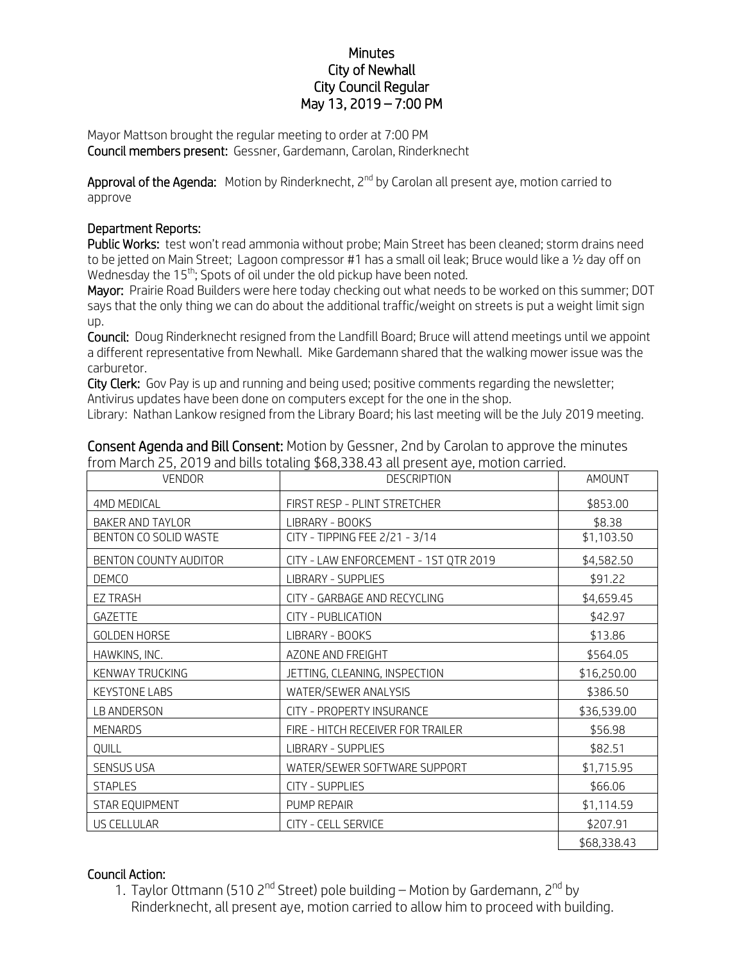## **Minutes** City of Newhall City Council Regular May 13, 2019 – 7:00 PM

Mayor Mattson brought the regular meeting to order at 7:00 PM Council members present: Gessner, Gardemann, Carolan, Rinderknecht

Approval of the Agenda: Motion by Rinderknecht, 2<sup>nd</sup> by Carolan all present aye, motion carried to approve

## Department Reports:

Public Works: test won't read ammonia without probe; Main Street has been cleaned; storm drains need to be jetted on Main Street; Lagoon compressor #1 has a small oil leak; Bruce would like a ½ day off on Wednesday the 15<sup>th</sup>; Spots of oil under the old pickup have been noted.

Mayor: Prairie Road Builders were here today checking out what needs to be worked on this summer; DOT says that the only thing we can do about the additional traffic/weight on streets is put a weight limit sign up.

Council: Doug Rinderknecht resigned from the Landfill Board; Bruce will attend meetings until we appoint a different representative from Newhall. Mike Gardemann shared that the walking mower issue was the carburetor.

City Clerk: Gov Pay is up and running and being used; positive comments regarding the newsletter; Antivirus updates have been done on computers except for the one in the shop.

Library: Nathan Lankow resigned from the Library Board; his last meeting will be the July 2019 meeting.

| <b>VENDOR</b>           | <b>DESCRIPTION</b>                    | AMOUNT      |
|-------------------------|---------------------------------------|-------------|
| 4MD MEDICAL             | FIRST RESP - PLINT STRETCHER          | \$853.00    |
| <b>BAKER AND TAYLOR</b> | LIBRARY - BOOKS                       | \$8.38      |
| BENTON CO SOLID WASTE   | CITY - TIPPING FEE 2/21 - 3/14        | \$1,103.50  |
| BENTON COUNTY AUDITOR   | CITY - LAW ENFORCEMENT - 1ST QTR 2019 | \$4,582.50  |
| <b>DEMCO</b>            | LIBRARY - SUPPLIES                    | \$91.22     |
| <b>EZ TRASH</b>         | CITY - GARBAGE AND RECYCLING          | \$4,659.45  |
| GAZETTE                 | <b>CITY - PUBLICATION</b>             | \$42.97     |
| <b>GOLDEN HORSE</b>     | LIBRARY - BOOKS                       | \$13.86     |
| HAWKINS, INC.           | AZONE AND FREIGHT                     | \$564.05    |
| KENWAY TRUCKING         | JETTING, CLEANING, INSPECTION         | \$16,250.00 |
| <b>KEYSTONE LABS</b>    | WATER/SEWER ANALYSIS                  | \$386.50    |
| LB ANDERSON             | CITY - PROPERTY INSURANCE             | \$36,539.00 |
| <b>MENARDS</b>          | FIRE - HITCH RECEIVER FOR TRAILER     | \$56.98     |
| QUILL                   | <b>LIBRARY - SUPPLIES</b>             | \$82.51     |
| <b>SENSUS USA</b>       | WATER/SEWER SOFTWARE SUPPORT          | \$1,715.95  |
| <b>STAPLES</b>          | <b>CITY - SUPPLIES</b>                | \$66.06     |
| STAR EQUIPMENT          | PUMP REPAIR                           | \$1,114.59  |
| US CELLULAR             | CITY - CELL SERVICE                   | \$207.91    |
|                         |                                       | \$68,338.43 |

Consent Agenda and Bill Consent: Motion by Gessner, 2nd by Carolan to approve the minutes from March 25, 2019 and bills totaling \$68,338.43 all present aye, motion carried.

## Council Action:

1. Taylor Ottmann (510 2<sup>nd</sup> Street) pole building – Motion by Gardemann, 2<sup>nd</sup> by Rinderknecht, all present aye, motion carried to allow him to proceed with building.